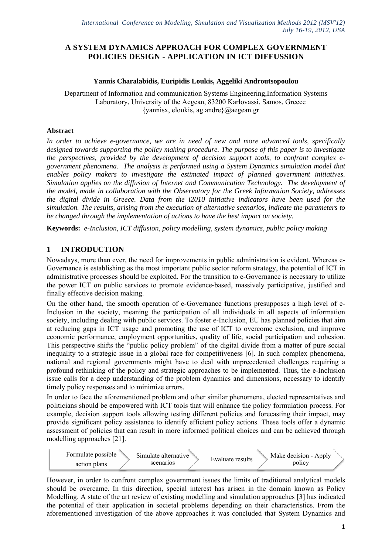## **A SYSTEM DYNAMICS APPROACH FOR COMPLEX GOVERNMENT POLICIES DESIGN - APPLICATION IN ICT DIFFUSSION**

### Yannis Charalabidis, Euripidis Loukis, Aggeliki Androutsopoulou

Department of Information and communication Systems Engineering, Information Systems Laboratory, University of the Aegean, 83200 Karlovassi, Samos, Greece {yannisx, el oukis, ag.and dre}@aegean n.gr

## Abstract

In order to achieve e-governance, we are in need of new and more advanced tools, specifically *designed towards supporting the policy making procedure. The purpose of this paper is to investigate* the perspectives, provided by the development of decision support tools, to confront complex e*government phenomena. The analysis is performed using a System Dynamics simulation model that enables policy makers to investigate the estimated impact of planned government initiatives. Simulation applies on the diffusion of Internet and Communication Technology. The development of the model, made in collaboration with the Observatory for the Greek Information Society, addresses the digital divide in Greece. Data from the i2010 initiative indicators have been used for the simulation. The results, arising from the execution of alternative scenarios, indicate the parameters to be changed through the implementation of actions to have the best impact on society.* 

**Keywords:** e-Inclusion, ICT diffusion, policy modelling, system dynamics, public policy making

# 1 **INTRODUCTION**

Nowadays, more than ever, the need for improvements in public administration is evident. Whereas e-Governance is establishing as the most important public sector reform strategy, the potential of ICT in administrative processes should be exploited. For the transition to e-Governance is necessary to utilize the power ICT on public services to promote evidence-based, massively participative, justified and finally effective decision making.

On the other hand, the smooth operation of e-Governance functions presupposes a high level of e-Inclusion in the society, meaning the participation of all individuals in all aspects of information society, including dealing with public services. To foster e-Inclusion, EU has planned policies that aim at reducing gaps in ICT usage and promoting the use of ICT to overcome exclusion, and improve economic performance, employment opportunities, quality of life, social participation and cohesion. This perspective shifts the "public policy problem" of the digital divide from a matter of pure social inequality to a strategic issue in a global race for competitiveness [6]. In such complex phenomena, national and regional governments might have to deal with unprecedented challenges requiring a profound rethinking of the policy and strategic approaches to be implemented. Thus, the e-Inclusion issue calls for a deep understanding of the problem dynamics and dimensions, necessary to identify timely policy responses and to minimize errors.

In order to face the aforementioned problem and other similar phenomena, elected representatives and politicians should be empowered with ICT tools that will enhance the policy formulation process. For example, decision support tools allowing testing different policies and forecasting their impact, may provide significant policy assistance to identify efficient policy actions. These tools offer a dynamic assessment of policies that can result in more informed political choices and can be achieved through modelling approaches [21].



However, in order to confront complex government issues the limits of traditional analytical models should be overcame. In this direction, special interest has arisen in the domain known as Policy Modelling. A state of the art review of existing modelling and simulation approaches [3] has indicated the potential of their application in societal problems depending on their characteristics. From the aforementioned investigation of the above approaches it was concluded that System Dynamics and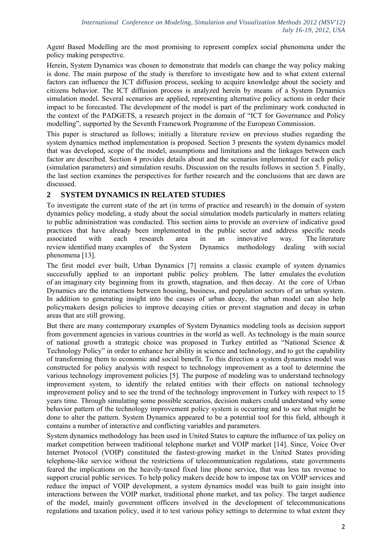Agent Based Modelling are the most promising to represent complex social phenomena under the policy making perspective.

Herein, System Dynamics was chosen to demonstrate that models can change the way policy making is done. The main purpose of the study is therefore to investigate how and to what extent external factors can influence the ICT diffusion process, seeking to acquire knowledge about the society and citizens behavior. The ICT diffusion process is analyzed herein by means of a System Dynamics simulation model. Several scenarios are applied, representing alternative policy actions in order their impact to be forecasted. The development of the model is part of the preliminary work conducted in the context of the PADGETS, a research project in the domain of "ICT for Governance and Policy modelling", supported by the Seventh Framework Programme of the European Commission.

This paper is structured as follows; initially a literature review on previous studies regarding the system dynamics method implementation is proposed. Section 3 presents the system dynamics model that was developed, scope of the model, assumptions and limitations and the linkages between each factor are described. Section 4 provides details about and the scenarios implemented for each policy (simulation parameters) and simulation results. Discussion on the results follows in section 5. Finally, the last section examines the perspectives for further research and the conclusions that are dawn are discussed.

# **2 SYSTEM DYNAMICS IN RELATED STUDIES**

To investigate the current state of the art (in terms of practice and research) in the domain of system dynamics policy modeling, a study about the social simulation models particularly in matters relating to public administration was conducted. This section aims to provide an overview of indicative good practices that have already been implemented in the public sector and address specific needs associated with each research area in an innovative way. The literature review identified many examples of the System Dynamics methodology dealing with social phenomena [13].

The first model ever built, Urban Dynamics [7] remains a classic example of system dynamics successfully applied to an important public policy problem. The latter emulates the evolution of an imaginary city beginning from its growth, stagnation, and then decay. At the core of Urban Dynamics are the interactions between housing, business, and population sectors of an urban system. In addition to generating insight into the causes of urban decay, the urban model can also help policymakers design policies to improve decaying cities or prevent stagnation and decay in urban areas that are still growing.

But there are many contemporary examples of System Dynamics modeling tools as decision support from government agencies in various countries in the world as well. As technology is the main source of national growth a strategic choice was proposed in Turkey entitled as "National Science & Technology Policy" in order to enhance her ability in science and technology, and to get the capability of transforming them to economic and social benefit. To this direction a system dynamics model was constructed for policy analysis with respect to technology improvement as a tool to determine the various technology improvement policies [5]. The purpose of modeling was to understand technology improvement system, to identify the related entities with their effects on national technology improvement policy and to see the trend of the technology improvement in Turkey with respect to 15 years time. Through simulating some possible scenarios, decision makers could understand why some behavior pattern of the technology improvement policy system is occurring and to see what might be done to alter the pattern. System Dynamics appeared to be a potential tool for this field, although it contains a number of interactive and conflicting variables and parameters.

System dynamics methodology has been used in United States to capture the influence of tax policy on market competition between traditional telephone market and VOIP market [14]. Since, Voice Over Internet Protocol (VOIP) constituted the fastest-growing market in the United States providing telephone-like service without the restrictions of telecommunication regulations, state governments feared the implications on the heavily-taxed fixed line phone service, that was less tax revenue to support crucial public services. To help policy makers decide how to impose tax on VOIP services and reduce the impact of VOIP development, a system dynamics model was built to gain insight into interactions between the VOIP market, traditional phone market, and tax policy. The target audience of the model, mainly government officers involved in the development of telecommunications regulations and taxation policy, used it to test various policy settings to determine to what extent they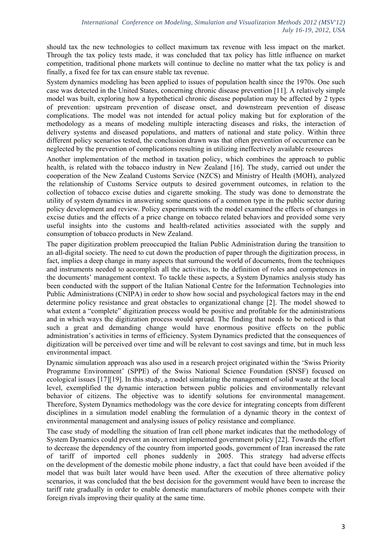should tax the new technologies to collect maximum tax revenue with less impact on the market. Through the tax policy tests made, it was concluded that tax policy has little influence on market competition, traditional phone markets will continue to decline no matter what the tax policy is and finally, a fixed fee for tax can ensure stable tax revenue.

System dynamics modeling has been applied to issues of population health since the 1970s. One such case was detected in the United States, concerning chronic disease prevention [11]. A relatively simple model was built, exploring how a hypothetical chronic disease population may be affected by 2 types of prevention: upstream prevention of disease onset, and downstream prevention of disease complications. The model was not intended for actual policy making but for exploration of the methodology as a means of modeling multiple interacting diseases and risks, the interaction of delivery systems and diseased populations, and matters of national and state policy. Within three different policy scenarios tested, the conclusion drawn was that often prevention of occurrence can be neglected by the prevention of complications resulting in utilizing ineffectively available resources

Another implementation of the method in taxation policy, which combines the approach to public health, is related with the tobacco industry in New Zealand [16]. The study, carried out under the cooperation of the New Zealand Customs Service (NZCS) and Ministry of Health (MOH), analyzed the relationship of Customs Service outputs to desired government outcomes, in relation to the collection of tobacco excise duties and cigarette smoking. The study was done to demonstrate the utility of system dynamics in answering some questions of a common type in the public sector during policy development and review. Policy experiments with the model examined the effects of changes in excise duties and the effects of a price change on tobacco related behaviors and provided some very useful insights into the customs and health-related activities associated with the supply and consumption of tobacco products in New Zealand.

The paper digitization problem preoccupied the Italian Public Administration during the transition to an all-digital society. The need to cut down the production of paper through the digitization process, in fact, implies a deep change in many aspects that surround the world of documents, from the techniques and instruments needed to accomplish all the activities, to the definition of roles and competences in the documents' management context. To tackle these aspects, a System Dynamics analysis study has been conducted with the support of the Italian National Centre for the Information Technologies into Public Administrations (CNIPA) in order to show how social and psychological factors may in the end determine policy resistance and great obstacles to organizational change [2]. The model showed to what extent a "complete" digitization process would be positive and profitable for the administrations and in which ways the digitization process would spread. The finding that needs to be noticed is that such a great and demanding change would have enormous positive effects on the public administration's activities in terms of efficiency. System Dynamics predicted that the consequences of digitization will be perceived over time and will be relevant to cost savings and time, but in much less environmental impact.

Dynamic simulation approach was also used in a research project originated within the 'Swiss Priority Programme Environment' (SPPE) of the Swiss National Science Foundation (SNSF) focused on ecological issues [17][19]. In this study, a model simulating the management of solid waste at the local level, exemplified the dynamic interaction between public policies and environmentally relevant behavior of citizens. The objective was to identify solutions for environmental management. Therefore, System Dynamics methodology was the core device for integrating concepts from different disciplines in a simulation model enabling the formulation of a dynamic theory in the context of environmental management and analysing issues of policy resistance and compliance.

The case study of modelling the situation of Iran cell phone market indicates that the methodology of System Dynamics could prevent an incorrect implemented government policy [22]. Towards the effort to decrease the dependency of the country from imported goods, government of Iran increased the rate of tariff of imported cell phones suddenly in 2005. This strategy had adverse effects on the development of the domestic mobile phone industry, a fact that could have been avoided if the model that was built later would have been used. After the execution of three alternative policy scenarios, it was concluded that the best decision for the government would have been to increase the tariff rate gradually in order to enable domestic manufacturers of mobile phones compete with their foreign rivals improving their quality at the same time.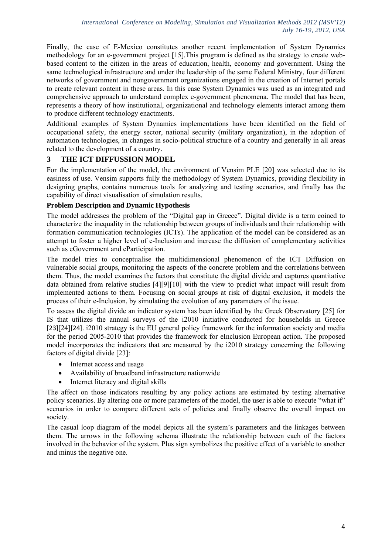Finally, the case of E-Mexico constitutes another recent implementation of System Dynamics methodology for an e-government project [15].This program is defined as the strategy to create webbased content to the citizen in the areas of education, health, economy and government. Using the same technological infrastructure and under the leadership of the same Federal Ministry, four different networks of government and nongovernment organizations engaged in the creation of Internet portals to create relevant content in these areas. In this case System Dynamics was used as an integrated and comprehensive approach to understand complex e-government phenomena. The model that has been, represents a theory of how institutional, organizational and technology elements interact among them to produce different technology enactments.

Additional examples of System Dynamics implementations have been identified on the field of occupational safety, the energy sector, national security (military organization), in the adoption of automation technologies, in changes in socio-political structure of a country and generally in all areas related to the development of a country.

# **3 THE ICT DIFFUSSION MODEL**

For the implementation of the model, the environment of Vensim PLE [20] was selected due to its easiness of use. Vensim supports fully the methodology of System Dynamics, providing flexibility in designing graphs, contains numerous tools for analyzing and testing scenarios, and finally has the capability of direct visualisation of simulation results.

## **Problem Description and Dynamic Hypothesis**

The model addresses the problem of the "Digital gap in Greece". Digital divide is a term coined to characterize the inequality in the relationship between groups of individuals and their relationship with formation communication technologies (ICTs). The application of the model can be considered as an attempt to foster a higher level of e-Inclusion and increase the diffusion of complementary activities such as eGovernment and eParticipation.

The model tries to conceptualise the multidimensional phenomenon of the ICT Diffusion on vulnerable social groups, monitoring the aspects of the concrete problem and the correlations between them. Thus, the model examines the factors that constitute the digital divide and captures quantitative data obtained from relative studies [4][9][10] with the view to predict what impact will result from implemented actions to them. Focusing on social groups at risk of digital exclusion, it models the process of their e-Inclusion, by simulating the evolution of any parameters of the issue.

To assess the digital divide an indicator system has been identified by the Greek Observatory [25] for IS that utilizes the annual surveys of the i2010 initiative conducted for households in Greece [23][24][24]. i2010 strategy is the EU general policy framework for the information society and media for the period 2005-2010 that provides the framework for eInclusion European action. The proposed model incorporates the indicators that are measured by the i2010 strategy concerning the following factors of digital divide [23]:

- Internet access and usage
- Availability of broadband infrastructure nationwide
- Internet literacy and digital skills

The affect on those indicators resulting by any policy actions are estimated by testing alternative policy scenarios. By altering one or more parameters of the model, the user is able to execute "what if" scenarios in order to compare different sets of policies and finally observe the overall impact on society.

The casual loop diagram of the model depicts all the system's parameters and the linkages between them. The arrows in the following schema illustrate the relationship between each of the factors involved in the behavior of the system. Plus sign symbolizes the positive effect of a variable to another and minus the negative one.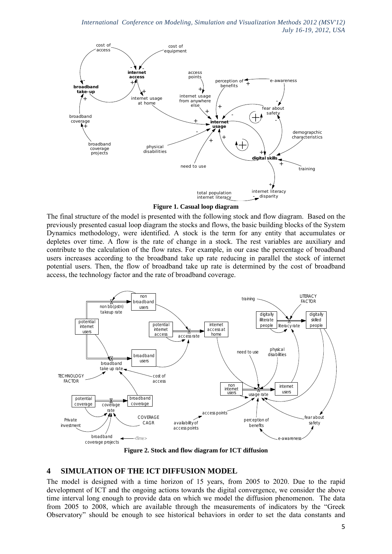

**Figure 1. Casual loop diagram** 

The final structure of the model is presented with the following stock and flow diagram. Based on the previously presented casual loop diagram the stocks and flows, the basic building blocks of the System Dynamics methodology, were identified. A stock is the term for any entity that accumulates or depletes over time. A flow is the rate of change in a stock. The rest variables are auxiliary and contribute to the calculation of the flow rates. For example, in our case the percentage of broadband users increases according to the broadband take up rate reducing in parallel the stock of internet potential users. Then, the flow of broadband take up rate is determined by the cost of broadband access, the technology factor and the rate of broadband coverage.



**Figure 2. Stock and flow diagram for ICT diffusion**

## **4 SIMULATION OF THE ICT DIFFUSION MODEL**

The model is designed with a time horizon of 15 years, from 2005 to 2020. Due to the rapid development of ICT and the ongoing actions towards the digital convergence, we consider the above time interval long enough to provide data on which we model the diffusion phenomenon. The data from 2005 to 2008, which are available through the measurements of indicators by the "Greek Observatory" should be enough to see historical behaviors in order to set the data constants and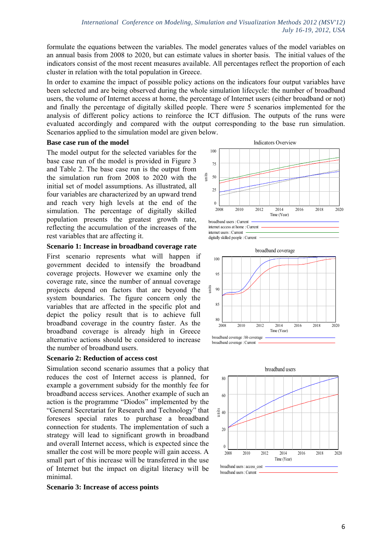formulate the equations between the variables. The model generates values of the model variables on an annual basis from 2008 to 2020, but can estimate values in shorter basis. The initial values of the indicators consist of the most recent measures available. All percentages reflect the proportion of each cluster in relation with the total population in Greece.

In order to examine the impact of possible policy actions on the indicators four output variables have been selected and are being observed during the whole simulation lifecycle: the number of broadband users, the volume of Internet access at home, the percentage of Internet users (either broadband or not) and finally the percentage of digitally skilled people. There were 5 scenarios implemented for the analysis of different policy actions to reinforce the ICT diffusion. The outputs of the runs were evaluated accordingly and compared with the output corresponding to the base run simulation. Scenarios applied to the simulation model are given below.

### **Base case run of the model**

The model output for the selected variables for the base case run of the model is provided in Figure 3 and Table 2. The base case run is the output from the simulation run from 2008 to 2020 with the initial set of model assumptions. As illustrated, all four variables are characterized by an upward trend and reach very high levels at the end of the simulation. The percentage of digitally skilled population presents the greatest growth rate, reflecting the accumulation of the increases of the rest variables that are affecting it.

### **Scenario 1: Increase in broadband coverage rate**

First scenario represents what will happen if government decided to intensify the broadband coverage projects. However we examine only the coverage rate, since the number of annual coverage projects depend on factors that are beyond the system boundaries. The figure concern only the variables that are affected in the specific plot and depict the policy result that is to achieve full broadband coverage in the country faster. As the broadband coverage is already high in Greece alternative actions should be considered to increase the number of broadband users.

#### **Scenario 2: Reduction of access cost**

Simulation second scenario assumes that a policy that reduces the cost of Internet access is planned, for example a government subsidy for the monthly fee for broadband access services. Another example of such an action is the programme "Diodos" implemented by the "General Secretariat for Research and Technology" that foresees special rates to purchase a broadband connection for students. The implementation of such a strategy will lead to significant growth in broadband and overall Internet access, which is expected since the smaller the cost will be more people will gain access. A small part of this increase will be transferred in the use of Internet but the impact on digital literacy will be minimal.

#### Indicators Overview 100 75 50 25  $\overline{0}$ 2008 2010 2012 2014 2016 2018 2020 Time (Year) units broadband users : Current internet access at home : Current internet users : Current







**Scenario 3: Increase of access points**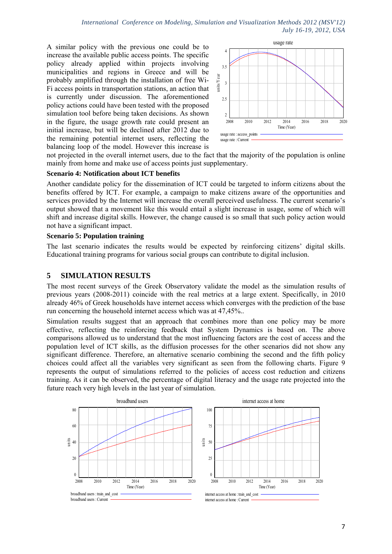*International Conference on Modeling, Simulation and Visualization Methods 2012 (MSV'12) July 16-19, 2012, USA*

A similar policy with the previous one could be to increase the available public access points. The specific policy already applied within projects involving municipalities and regions in Greece and will be probably amplified through the installation of free Wi-Fi access points in transportation stations, an action that is currently under discussion. The aforementioned policy actions could have been tested with the proposed simulation tool before being taken decisions. As shown in the figure, the usage growth rate could present an initial increase, but will be declined after 2012 due to the remaining potential internet users, reflecting the balancing loop of the model. However this increase is



not projected in the overall internet users, due to the fact that the majority of the population is online mainly from home and make use of access points just supplementary.

#### **Scenario 4: Notification about ICT benefits**

Another candidate policy for the dissemination of ICT could be targeted to inform citizens about the benefits offered by ICT. For example, a campaign to make citizens aware of the opportunities and services provided by the Internet will increase the overall perceived usefulness. The current scenario's output showed that a movement like this would entail a slight increase in usage, some of which will shift and increase digital skills. However, the change caused is so small that such policy action would not have a significant impact.

#### **Scenario 5: Population training**

The last scenario indicates the results would be expected by reinforcing citizens' digital skills. Educational training programs for various social groups can contribute to digital inclusion.

## **5 SIMULATION RESULTS**

The most recent surveys of the Greek Observatory validate the model as the simulation results of previous years (2008-2011) coincide with the real metrics at a large extent. Specifically, in 2010 already 46% of Greek households have internet access which converges with the prediction of the base run concerning the household internet access which was at 47,45%..

Simulation results suggest that an approach that combines more than one policy may be more effective, reflecting the reinforcing feedback that System Dynamics is based on. The above comparisons allowed us to understand that the most influencing factors are the cost of access and the population level of ICT skills, as the diffusion processes for the other scenarios did not show any significant difference. Therefore, an alternative scenario combining the second and the fifth policy choices could affect all the variables very significant as seen from the following charts. Figure 9 represents the output of simulations referred to the policies of access cost reduction and citizens training. As it can be observed, the percentage of digital literacy and the usage rate projected into the future reach very high levels in the last year of simulation.

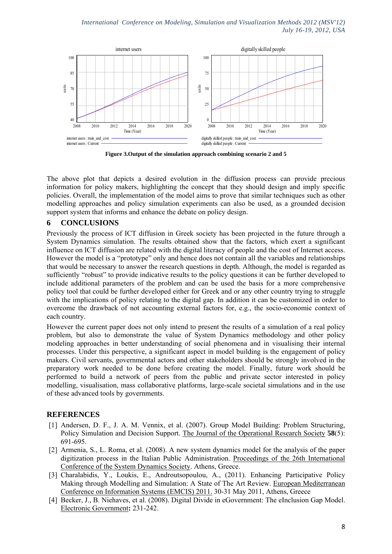

**Figure 3.Output of the simulation approach combining scenario 2 and 5** 

The above plot that depicts a desired evolution in the diffusion process can provide precious information for policy makers, highlighting the concept that they should design and imply specific policies. Overall, the implementation of the model aims to prove that similar techniques such as other modelling approaches and policy simulation experiments can also be used, as a grounded decision support system that informs and enhance the debate on policy design.

# **6 CONCLUSIONS**

Previously the process of ICT diffusion in Greek society has been projected in the future through a System Dynamics simulation. The results obtained show that the factors, which exert a significant influence on ICT diffusion are related with the digital literacy of people and the cost of Internet access. However the model is a "prototype" only and hence does not contain all the variables and relationships that would be necessary to answer the research questions in depth. Although, the model is regarded as sufficiently "robust" to provide indicative results to the policy questions it can be further developed to include additional parameters of the problem and can be used the basis for a more comprehensive policy tool that could be further developed either for Greek and or any other country trying to struggle with the implications of policy relating to the digital gap. In addition it can be customized in order to overcome the drawback of not accounting external factors for, e.g., the socio-economic context of each country.

However the current paper does not only intend to present the results of a simulation of a real policy problem, but also to demonstrate the value of System Dynamics methodology and other policy modeling approaches in better understanding of social phenomena and in visualising their internal processes. Under this perspective, a significant aspect in model building is the engagement of policy makers. Civil servants, governmental actors and other stakeholders should be strongly involved in the preparatory work needed to be done before creating the model. Finally, future work should be performed to build a network of peers from the public and private sector interested in policy modelling, visualisation, mass collaborative platforms, large-scale societal simulations and in the use of these advanced tools by governments.

# **REFERENCES**

- [1] Andersen, D. F., J. A. M. Vennix, et al. (2007). Group Model Building: Problem Structuring, Policy Simulation and Decision Support. The Journal of the Operational Research Society **58**(5): 691-695.
- [2] Armenia, S., L. Roma, et al. (2008). A new system dynamics model for the analysis of the paper digitization process in the Italian Public Administration. Proceedings of the 26th International Conference of the System Dynamics Society. Athens, Greece.
- [3] Charalabidis, Y., Loukis, E., Androutsopoulou, A., (2011). Enhancing Participative Policy Making through Modelling and Simulation: A State of The Art Review. European Mediterranean Conference on Information Systems (EMCIS) 2011. 30-31 May 2011, Athens, Greece
- [4] Becker, J., B. Niehaves, et al. (2008). Digital Divide in eGovernment: The eInclusion Gap Model. Electronic Government**:** 231-242.